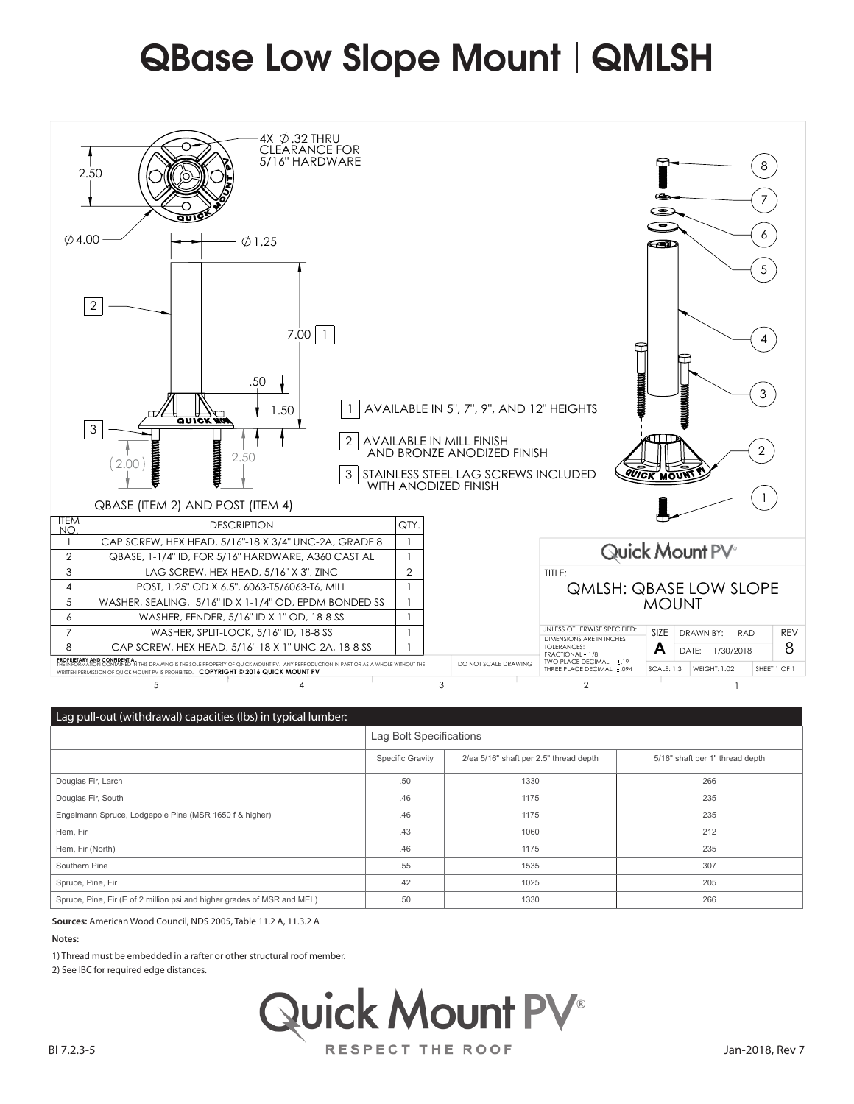## QBase Low Slope Mount | QMLSH



|                                                                         | Lag Bolt Specifications |                                        |                                 |
|-------------------------------------------------------------------------|-------------------------|----------------------------------------|---------------------------------|
|                                                                         | <b>Specific Gravity</b> | 2/ea 5/16" shaft per 2.5" thread depth | 5/16" shaft per 1" thread depth |
| Douglas Fir, Larch                                                      | .50                     | 1330                                   | 266                             |
| Douglas Fir, South                                                      | .46                     | 1175                                   | 235                             |
| Engelmann Spruce, Lodgepole Pine (MSR 1650 f & higher)                  | .46                     | 1175                                   | 235                             |
| Hem, Fir                                                                | .43                     | 1060                                   | 212                             |
| Hem, Fir (North)                                                        | .46                     | 1175                                   | 235                             |
| Southern Pine                                                           | .55                     | 1535                                   | 307                             |
| Spruce, Pine, Fir                                                       | .42                     | 1025                                   | 205                             |
| Spruce, Pine, Fir (E of 2 million psi and higher grades of MSR and MEL) | .50                     | 1330                                   | 266                             |

**Sources:** American Wood Council, NDS 2005, Table 11.2 A, 11.3.2 A

## **Notes:**

1) Thread must be embedded in a rafter or other structural roof member.

2) See IBC for required edge distances.